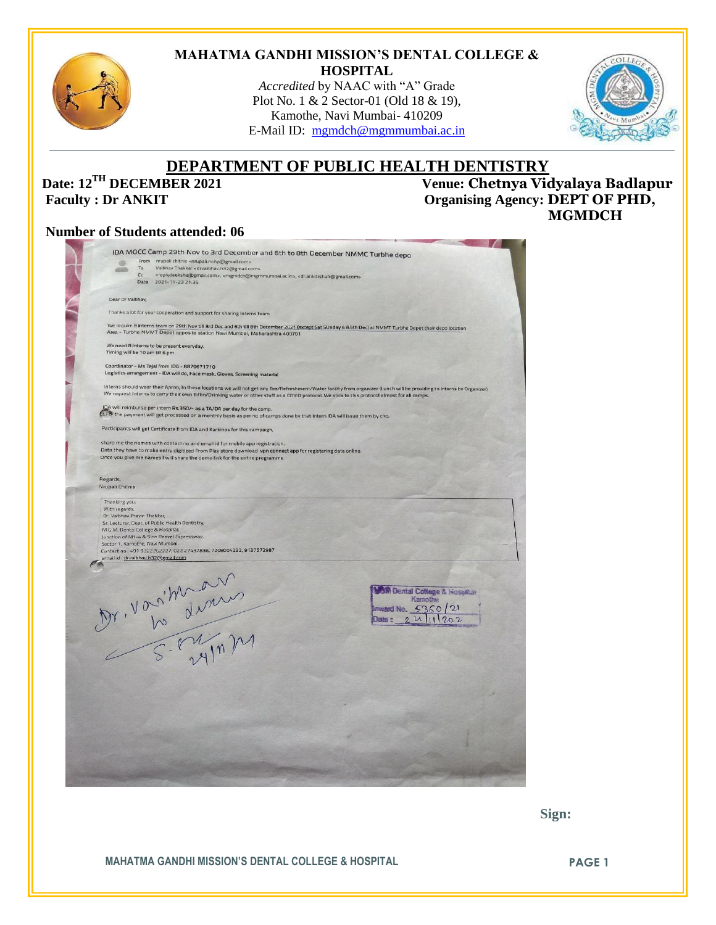

#### **MAHATMA GANDHI MISSION'S DENTAL COLLEGE & HOSPITAL**

*Accredited* by NAAC with "A" Grade Plot No. 1 & 2 Sector-01 (Old 18 & 19), Kamothe, Navi Mumbai- 410209 E-Mail ID: [mgmdch@mgmmumbai.ac.in](mailto:mgmdch@mgmmumbai.ac.in)



# **DEPARTMENT OF PUBLIC HEALTH DENTISTRY**<br>Venue: Chetnya Vid

**Date: 12<sup>TH</sup> DECEMBER 2021** Venue: **Chetnya Vidyalaya Badlapur**<br> **Paculty** : Dr ANKIT *Creamising Agency*: DEPT OF PHD,  $$  **MGMDCH**

#### **Number of Students attended: 06**

| GB <sub>1</sub>                              | IDA MOCC Camp 29th Nov to 3rd December and 6th to 8th December NMMC Turbhe depo<br>From nrupali chitnis <nrupali.nohp@gmail.com></nrupali.nohp@gmail.com>                                                                                                                                                                  |
|----------------------------------------------|----------------------------------------------------------------------------------------------------------------------------------------------------------------------------------------------------------------------------------------------------------------------------------------------------------------------------|
|                                              | To<br>Vaibhav Thakkar <drvaibhav.h32@gmail.com><br/>Cc</drvaibhav.h32@gmail.com>                                                                                                                                                                                                                                           |
|                                              | <replydeeksha@gmail.com>, <mgmdch@mgmmumbai.ac.in>, <dr.ankitrshah@gmail.com><br/><b>Date</b><br/>2021-11-23 21:36</dr.ankitrshah@gmail.com></mgmdch@mgmmumbai.ac.in></replydeeksha@gmail.com>                                                                                                                             |
| Dear Dr Valbhay.                             |                                                                                                                                                                                                                                                                                                                            |
|                                              | Thanks a lot for your cooperation and support for sharing Interns team                                                                                                                                                                                                                                                     |
|                                              |                                                                                                                                                                                                                                                                                                                            |
|                                              | We require 8 interns team on 29th Nov till 3rd Dec and 6th till 8th December 2021 (except Sat SUnday 4 &5th Dec) at NMMT Turbhe Depot their depo location<br>Area - Turbhe NMMT Depot opposite station Navi Mumbai, Maharashtra 400701                                                                                     |
|                                              | We need 8 interns to be present everyday.<br>Timing will be 10 am till 6 pm                                                                                                                                                                                                                                                |
|                                              | Coordinator - Ms Tejal from IDA - 8879671710                                                                                                                                                                                                                                                                               |
|                                              | Logistics arrangement - IDA will do, Face mask, Gloves, Screening material                                                                                                                                                                                                                                                 |
|                                              | Interns should wear their Apron, In these locations we will not get any Tea/Refreshment/Water facility from organizer (Lunch will be providing to Interns by Organizer)<br>We request Interns to carry their own Tiffin/Drinking water or other stuff as a COVID protocol. We stick to this protocol almost for all camps. |
|                                              | DA will reimburse per intern Rs.350/- as a TA/DA per day for the camp.<br>(a,Fo) the payment will get processed on a monthly basis as per no of camps done by that Intern IDA will issue them by chq.                                                                                                                      |
|                                              | Participants will get Certificate from IDA and Karkinos for this campaign,                                                                                                                                                                                                                                                 |
|                                              | share me the names with contact no and email id for mobile app registration.                                                                                                                                                                                                                                               |
|                                              | Data they have to make entry digitized From Play store download vpn connect app for registering data online.<br>Once you give me names I will share the demo link for the entire programme                                                                                                                                 |
|                                              |                                                                                                                                                                                                                                                                                                                            |
| Regards,<br>Nrupali Chitnis                  |                                                                                                                                                                                                                                                                                                                            |
| Thanking you.                                |                                                                                                                                                                                                                                                                                                                            |
| With regards,<br>Dr. Vaibhav Pravin Thakkar, |                                                                                                                                                                                                                                                                                                                            |
|                                              |                                                                                                                                                                                                                                                                                                                            |
|                                              | Sr. Lecturer, Dept. of Public Health Dentistry,                                                                                                                                                                                                                                                                            |
|                                              | M.G.M. Dental College & Hospital,<br>Junction of NH-4 & Sion Panvel Expressway.                                                                                                                                                                                                                                            |
|                                              | Sector 1, Kamothe, Navi Mumbai.                                                                                                                                                                                                                                                                                            |
|                                              | Contact no: +91 9322262227, 022 27437836, 7208004232, 9137572987<br>ernail id : drvaibhav.h32@gmail.com                                                                                                                                                                                                                    |
|                                              |                                                                                                                                                                                                                                                                                                                            |
|                                              |                                                                                                                                                                                                                                                                                                                            |
|                                              | M Dental College & Hospital                                                                                                                                                                                                                                                                                                |
|                                              | Kamothe                                                                                                                                                                                                                                                                                                                    |
|                                              | Immund No. $5360/21$                                                                                                                                                                                                                                                                                                       |
|                                              |                                                                                                                                                                                                                                                                                                                            |
|                                              |                                                                                                                                                                                                                                                                                                                            |
|                                              |                                                                                                                                                                                                                                                                                                                            |
|                                              |                                                                                                                                                                                                                                                                                                                            |
|                                              |                                                                                                                                                                                                                                                                                                                            |
|                                              |                                                                                                                                                                                                                                                                                                                            |
|                                              | M. Vorituan                                                                                                                                                                                                                                                                                                                |
|                                              |                                                                                                                                                                                                                                                                                                                            |
|                                              |                                                                                                                                                                                                                                                                                                                            |
|                                              |                                                                                                                                                                                                                                                                                                                            |
|                                              |                                                                                                                                                                                                                                                                                                                            |
|                                              |                                                                                                                                                                                                                                                                                                                            |
|                                              |                                                                                                                                                                                                                                                                                                                            |
|                                              |                                                                                                                                                                                                                                                                                                                            |

 **Sign:**

**MAHATMA GANDHI MISSION'S DENTAL COLLEGE & HOSPITAL PAGE 1**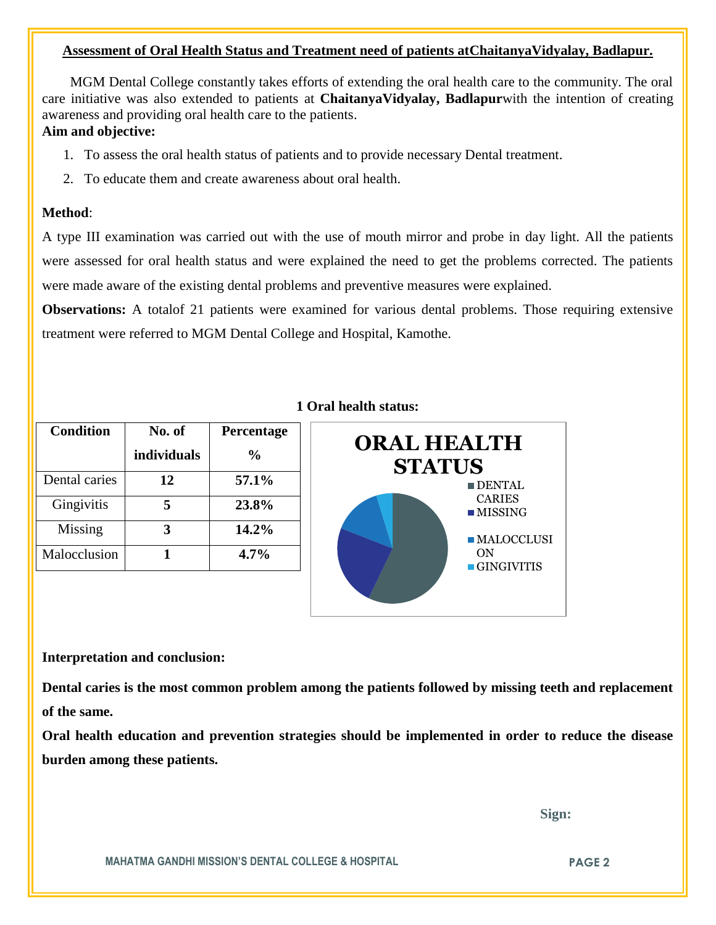#### **Assessment of Oral Health Status and Treatment need of patients atChaitanyaVidyalay, Badlapur.**

 MGM Dental College constantly takes efforts of extending the oral health care to the community. The oral care initiative was also extended to patients at **ChaitanyaVidyalay, Badlapur**with the intention of creating awareness and providing oral health care to the patients.

### **Aim and objective:**

- 1. To assess the oral health status of patients and to provide necessary Dental treatment.
- 2. To educate them and create awareness about oral health.

#### **Method**:

A type III examination was carried out with the use of mouth mirror and probe in day light. All the patients were assessed for oral health status and were explained the need to get the problems corrected. The patients were made aware of the existing dental problems and preventive measures were explained.

**Observations:** A totalof 21 patients were examined for various dental problems. Those requiring extensive treatment were referred to MGM Dental College and Hospital, Kamothe.

| <b>Condition</b> | No. of      | Percentage     |
|------------------|-------------|----------------|
|                  | individuals | $\frac{6}{10}$ |
| Dental caries    | 12          | 57.1%          |
| Gingivitis       |             | 23.8%          |
| Missing          | 3           | 14.2%          |
| Malocclusion     |             | 4.7%           |

#### **1 Oral health status:**



#### **Interpretation and conclusion:**

**Dental caries is the most common problem among the patients followed by missing teeth and replacement of the same.**

**Oral health education and prevention strategies should be implemented in order to reduce the disease burden among these patients.**

 **Sign:**

**MAHATMA GANDHI MISSION'S DENTAL COLLEGE & HOSPITAL PAGE 2**